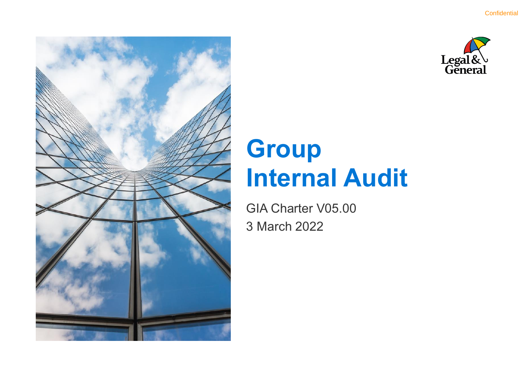

# **Group Internal Audit**

GIA Charter V05.00 3 March 2022

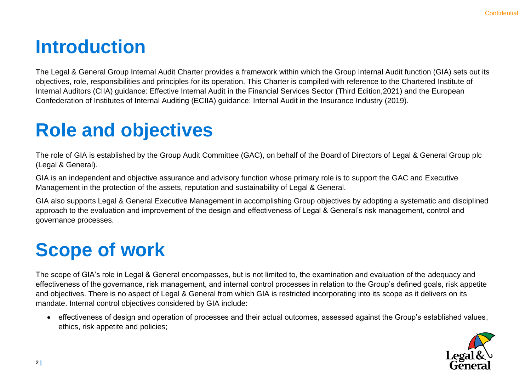### **Introduction**

The Legal & General Group Internal Audit Charter provides a framework within which the Group Internal Audit function (GIA) sets out its objectives, role, responsibilities and principles for its operation. This Charter is compiled with reference to the Chartered Institute of Internal Auditors (CIIA) guidance: Effective Internal Audit in the Financial Services Sector (Third Edition,2021) and the European Confederation of Institutes of Internal Auditing (ECIIA) guidance: Internal Audit in the Insurance Industry (2019).

# **Role and objectives**

The role of GIA is established by the Group Audit Committee (GAC), on behalf of the Board of Directors of Legal & General Group plc (Legal & General).

GIA is an independent and objective assurance and advisory function whose primary role is to support the GAC and Executive Management in the protection of the assets, reputation and sustainability of Legal & General.

GIA also supports Legal & General Executive Management in accomplishing Group objectives by adopting a systematic and disciplined approach to the evaluation and improvement of the design and effectiveness of Legal & General's risk management, control and governance processes.

# **Scope of work**

The scope of GIA's role in Legal & General encompasses, but is not limited to, the examination and evaluation of the adequacy and effectiveness of the governance, risk management, and internal control processes in relation to the Group's defined goals, risk appetite and objectives. There is no aspect of Legal & General from which GIA is restricted incorporating into its scope as it delivers on its mandate. Internal control objectives considered by GIA include:

• effectiveness of design and operation of processes and their actual outcomes, assessed against the Group's established values, ethics, risk appetite and policies;

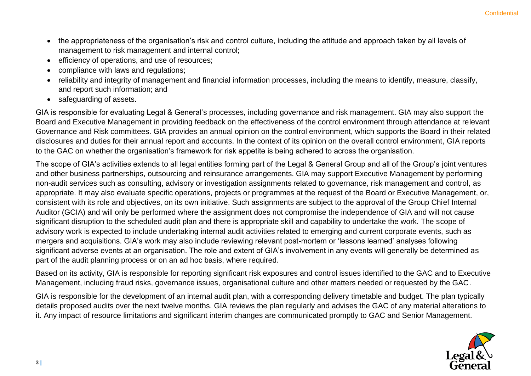- the appropriateness of the organisation's risk and control culture, including the attitude and approach taken by all levels of management to risk management and internal control;
- efficiency of operations, and use of resources;
- compliance with laws and regulations;
- reliability and integrity of management and financial information processes, including the means to identify, measure, classify, and report such information; and
- safeguarding of assets.

GIA is responsible for evaluating Legal & General's processes, including governance and risk management. GIA may also support the Board and Executive Management in providing feedback on the effectiveness of the control environment through attendance at relevant Governance and Risk committees. GIA provides an annual opinion on the control environment, which supports the Board in their related disclosures and duties for their annual report and accounts. In the context of its opinion on the overall control environment, GIA reports to the GAC on whether the organisation's framework for risk appetite is being adhered to across the organisation.

The scope of GIA's activities extends to all legal entities forming part of the Legal & General Group and all of the Group's joint ventures and other business partnerships, outsourcing and reinsurance arrangements. GIA may support Executive Management by performing non-audit services such as consulting, advisory or investigation assignments related to governance, risk management and control, as appropriate. It may also evaluate specific operations, projects or programmes at the request of the Board or Executive Management, or, consistent with its role and objectives, on its own initiative. Such assignments are subject to the approval of the Group Chief Internal Auditor (GCIA) and will only be performed where the assignment does not compromise the independence of GIA and will not cause significant disruption to the scheduled audit plan and there is appropriate skill and capability to undertake the work. The scope of advisory work is expected to include undertaking internal audit activities related to emerging and current corporate events, such as mergers and acquisitions. GIA's work may also include reviewing relevant post-mortem or 'lessons learned' analyses following significant adverse events at an organisation. The role and extent of GIA's involvement in any events will generally be determined as part of the audit planning process or on an ad hoc basis, where required.

Based on its activity, GIA is responsible for reporting significant risk exposures and control issues identified to the GAC and to Executive Management, including fraud risks, governance issues, organisational culture and other matters needed or requested by the GAC.

GIA is responsible for the development of an internal audit plan, with a corresponding delivery timetable and budget. The plan typically details proposed audits over the next twelve months. GIA reviews the plan regularly and advises the GAC of any material alterations to it. Any impact of resource limitations and significant interim changes are communicated promptly to GAC and Senior Management.

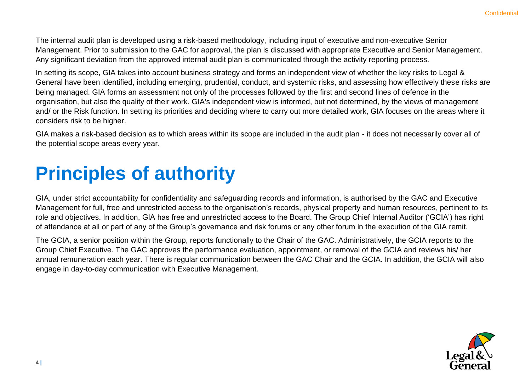The internal audit plan is developed using a risk-based methodology, including input of executive and non-executive Senior Management. Prior to submission to the GAC for approval, the plan is discussed with appropriate Executive and Senior Management. Any significant deviation from the approved internal audit plan is communicated through the activity reporting process.

In setting its scope. GIA takes into account business strategy and forms an independent view of whether the key risks to Legal & General have been identified, including emerging, prudential, conduct, and systemic risks, and assessing how effectively these risks are being managed. GIA forms an assessment not only of the processes followed by the first and second lines of defence in the organisation, but also the quality of their work. GIA's independent view is informed, but not determined, by the views of management and/ or the Risk function. In setting its priorities and deciding where to carry out more detailed work, GIA focuses on the areas where it considers risk to be higher.

GIA makes a risk-based decision as to which areas within its scope are included in the audit plan - it does not necessarily cover all of the potential scope areas every year.

# **Principles of authority**

GIA, under strict accountability for confidentiality and safeguarding records and information, is authorised by the GAC and Executive Management for full, free and unrestricted access to the organisation's records, physical property and human resources, pertinent to its role and objectives. In addition, GIA has free and unrestricted access to the Board. The Group Chief Internal Auditor ('GCIA') has right of attendance at all or part of any of the Group's governance and risk forums or any other forum in the execution of the GIA remit.

The GCIA, a senior position within the Group, reports functionally to the Chair of the GAC. Administratively, the GCIA reports to the Group Chief Executive. The GAC approves the performance evaluation, appointment, or removal of the GCIA and reviews his/ her annual remuneration each year. There is regular communication between the GAC Chair and the GCIA. In addition, the GCIA will also engage in day-to-day communication with Executive Management.

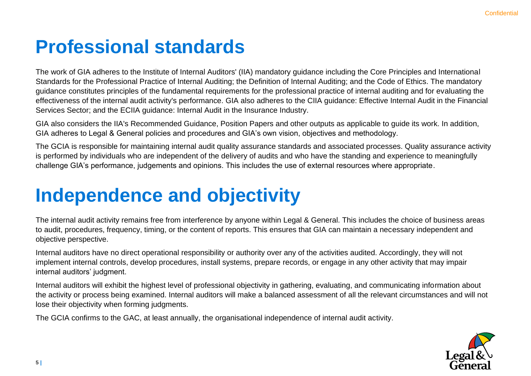### **Professional standards**

The work of GIA adheres to the Institute of Internal Auditors' (IIA) mandatory guidance including the Core Principles and International Standards for the Professional Practice of Internal Auditing; the Definition of Internal Auditing; and the Code of Ethics. The mandatory guidance constitutes principles of the fundamental requirements for the professional practice of internal auditing and for evaluating the effectiveness of the internal audit activity's performance. GIA also adheres to the CIIA guidance: Effective Internal Audit in the Financial Services Sector; and the ECIIA guidance: Internal Audit in the Insurance Industry.

GIA also considers the IIA's Recommended Guidance, Position Papers and other outputs as applicable to guide its work. In addition, GIA adheres to Legal & General policies and procedures and GIA's own vision, objectives and methodology.

The GCIA is responsible for maintaining internal audit quality assurance standards and associated processes. Quality assurance activity is performed by individuals who are independent of the delivery of audits and who have the standing and experience to meaningfully challenge GIA's performance, judgements and opinions. This includes the use of external resources where appropriate.

# **Independence and objectivity**

The internal audit activity remains free from interference by anyone within Legal & General. This includes the choice of business areas to audit, procedures, frequency, timing, or the content of reports. This ensures that GIA can maintain a necessary independent and objective perspective.

Internal auditors have no direct operational responsibility or authority over any of the activities audited. Accordingly, they will not implement internal controls, develop procedures, install systems, prepare records, or engage in any other activity that may impair internal auditors' judgment.

Internal auditors will exhibit the highest level of professional objectivity in gathering, evaluating, and communicating information about the activity or process being examined. Internal auditors will make a balanced assessment of all the relevant circumstances and will not lose their objectivity when forming judgments.

The GCIA confirms to the GAC, at least annually, the organisational independence of internal audit activity.

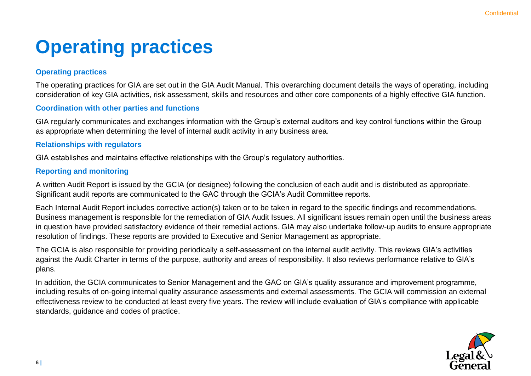## **Operating practices**

#### **Operating practices**

The operating practices for GIA are set out in the GIA Audit Manual. This overarching document details the ways of operating, including consideration of key GIA activities, risk assessment, skills and resources and other core components of a highly effective GIA function.

#### **Coordination with other parties and functions**

GIA regularly communicates and exchanges information with the Group's external auditors and key control functions within the Group as appropriate when determining the level of internal audit activity in any business area.

#### **Relationships with regulators**

GIA establishes and maintains effective relationships with the Group's regulatory authorities.

#### **Reporting and monitoring**

A written Audit Report is issued by the GCIA (or designee) following the conclusion of each audit and is distributed as appropriate. Significant audit reports are communicated to the GAC through the GCIA's Audit Committee reports.

Each Internal Audit Report includes corrective action(s) taken or to be taken in regard to the specific findings and recommendations. Business management is responsible for the remediation of GIA Audit Issues. All significant issues remain open until the business areas in question have provided satisfactory evidence of their remedial actions. GIA may also undertake follow-up audits to ensure appropriate resolution of findings. These reports are provided to Executive and Senior Management as appropriate.

The GCIA is also responsible for providing periodically a self-assessment on the internal audit activity. This reviews GIA's activities against the Audit Charter in terms of the purpose, authority and areas of responsibility. It also reviews performance relative to GIA's plans.

In addition, the GCIA communicates to Senior Management and the GAC on GIA's quality assurance and improvement programme, including results of on-going internal quality assurance assessments and external assessments. The GCIA will commission an external effectiveness review to be conducted at least every five years. The review will include evaluation of GIA's compliance with applicable standards, guidance and codes of practice.

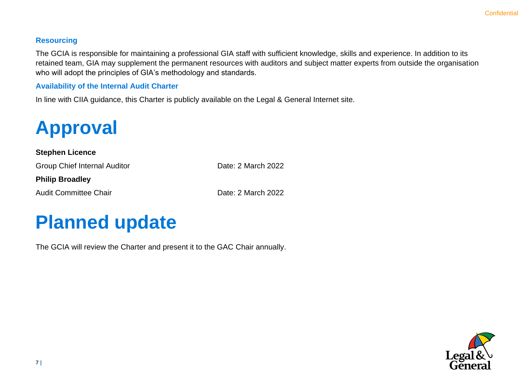#### **Resourcing**

The GCIA is responsible for maintaining a professional GIA staff with sufficient knowledge, skills and experience. In addition to its retained team, GIA may supplement the permanent resources with auditors and subject matter experts from outside the organisation who will adopt the principles of GIA's methodology and standards.

#### **Availability of the Internal Audit Charter**

In line with CIIA guidance, this Charter is publicly available on the Legal & General Internet site.

# **Approval**

#### **Stephen Licence**

Group Chief Internal Auditor **Date: 2 March 2022** 

**Philip Broadley**

Audit Committee Chair **Date: 2 March 2022** 

### **Planned update**

The GCIA will review the Charter and present it to the GAC Chair annually.

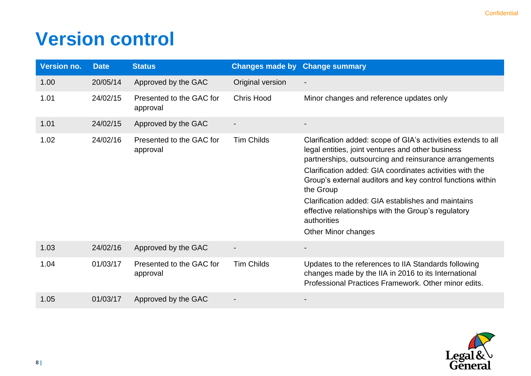### **Version control**

| <b>Version no.</b> | <b>Date</b> | <b>Status</b>                        |                   | <b>Changes made by Change summary</b>                                                                                                                                                                                                                                                                                                                                                                                                                                  |
|--------------------|-------------|--------------------------------------|-------------------|------------------------------------------------------------------------------------------------------------------------------------------------------------------------------------------------------------------------------------------------------------------------------------------------------------------------------------------------------------------------------------------------------------------------------------------------------------------------|
| 1.00               | 20/05/14    | Approved by the GAC                  | Original version  |                                                                                                                                                                                                                                                                                                                                                                                                                                                                        |
| 1.01               | 24/02/15    | Presented to the GAC for<br>approval | <b>Chris Hood</b> | Minor changes and reference updates only                                                                                                                                                                                                                                                                                                                                                                                                                               |
| 1.01               | 24/02/15    | Approved by the GAC                  |                   |                                                                                                                                                                                                                                                                                                                                                                                                                                                                        |
| 1.02               | 24/02/16    | Presented to the GAC for<br>approval | <b>Tim Childs</b> | Clarification added: scope of GIA's activities extends to all<br>legal entities, joint ventures and other business<br>partnerships, outsourcing and reinsurance arrangements<br>Clarification added: GIA coordinates activities with the<br>Group's external auditors and key control functions within<br>the Group<br>Clarification added: GIA establishes and maintains<br>effective relationships with the Group's regulatory<br>authorities<br>Other Minor changes |
| 1.03               | 24/02/16    | Approved by the GAC                  |                   | -                                                                                                                                                                                                                                                                                                                                                                                                                                                                      |
| 1.04               | 01/03/17    | Presented to the GAC for<br>approval | <b>Tim Childs</b> | Updates to the references to IIA Standards following<br>changes made by the IIA in 2016 to its International<br>Professional Practices Framework. Other minor edits.                                                                                                                                                                                                                                                                                                   |
| 1.05               | 01/03/17    | Approved by the GAC                  |                   |                                                                                                                                                                                                                                                                                                                                                                                                                                                                        |

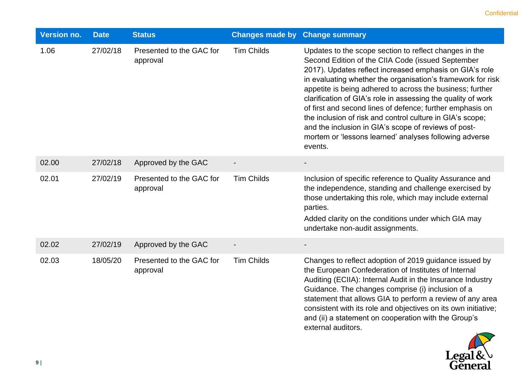| <b>Version no.</b> | <b>Date</b> | <b>Status</b>                        | <b>Changes made by Change summary</b> |                                                                                                                                                                                                                                                                                                                                                                                                                                                                                                                                                                                                                           |
|--------------------|-------------|--------------------------------------|---------------------------------------|---------------------------------------------------------------------------------------------------------------------------------------------------------------------------------------------------------------------------------------------------------------------------------------------------------------------------------------------------------------------------------------------------------------------------------------------------------------------------------------------------------------------------------------------------------------------------------------------------------------------------|
| 1.06               | 27/02/18    | Presented to the GAC for<br>approval | <b>Tim Childs</b>                     | Updates to the scope section to reflect changes in the<br>Second Edition of the CIIA Code (issued September<br>2017). Updates reflect increased emphasis on GIA's role<br>in evaluating whether the organisation's framework for risk<br>appetite is being adhered to across the business; further<br>clarification of GIA's role in assessing the quality of work<br>of first and second lines of defence; further emphasis on<br>the inclusion of risk and control culture in GIA's scope;<br>and the inclusion in GIA's scope of reviews of post-<br>mortem or 'lessons learned' analyses following adverse<br>events. |
| 02.00              | 27/02/18    | Approved by the GAC                  |                                       |                                                                                                                                                                                                                                                                                                                                                                                                                                                                                                                                                                                                                           |
| 02.01              | 27/02/19    | Presented to the GAC for<br>approval | <b>Tim Childs</b>                     | Inclusion of specific reference to Quality Assurance and<br>the independence, standing and challenge exercised by<br>those undertaking this role, which may include external<br>parties.<br>Added clarity on the conditions under which GIA may<br>undertake non-audit assignments.                                                                                                                                                                                                                                                                                                                                       |
| 02.02              | 27/02/19    | Approved by the GAC                  |                                       |                                                                                                                                                                                                                                                                                                                                                                                                                                                                                                                                                                                                                           |
| 02.03              | 18/05/20    | Presented to the GAC for<br>approval | <b>Tim Childs</b>                     | Changes to reflect adoption of 2019 guidance issued by<br>the European Confederation of Institutes of Internal<br>Auditing (ECIIA): Internal Audit in the Insurance Industry<br>Guidance. The changes comprise (i) inclusion of a<br>statement that allows GIA to perform a review of any area<br>consistent with its role and objectives on its own initiative;<br>and (ii) a statement on cooperation with the Group's<br>external auditors.                                                                                                                                                                            |